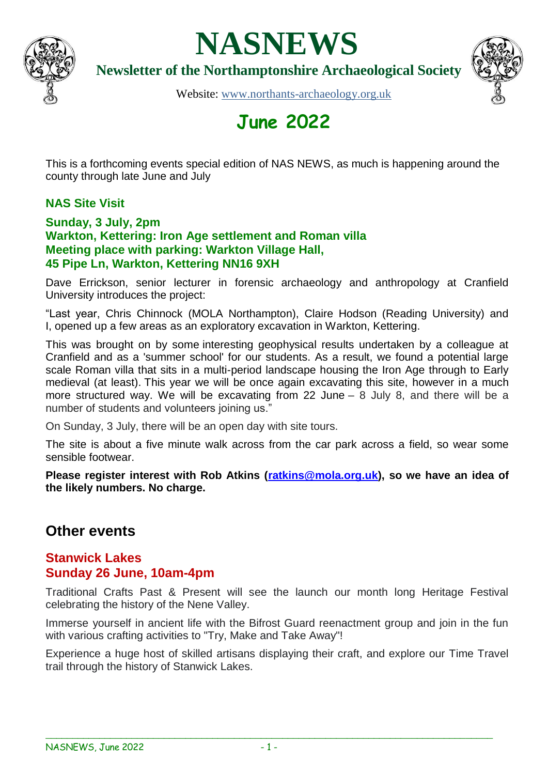

# **NASNEWS**

**Newsletter of the Northamptonshire Archaeological Society**



Website: [www.northants-archaeology.org.uk](about:blank)

# **June 2022**

This is a forthcoming events special edition of NAS NEWS, as much is happening around the county through late June and July

# **NAS Site Visit**

#### **Sunday, 3 July, 2pm Warkton, Kettering: Iron Age settlement and Roman villa Meeting place with parking: Warkton Village Hall, 45 Pipe Ln, Warkton, Kettering NN16 9XH**

Dave Errickson, senior lecturer in forensic archaeology and anthropology at Cranfield University introduces the project:

"Last year, Chris Chinnock (MOLA Northampton), Claire Hodson (Reading University) and I, opened up a few areas as an exploratory excavation in Warkton, Kettering.

This was brought on by some interesting geophysical results undertaken by a colleague at Cranfield and as a 'summer school' for our students. As a result, we found a potential large scale Roman villa that sits in a multi-period landscape housing the Iron Age through to Early medieval (at least). This year we will be once again excavating this site, however in a much more structured way. We will be excavating from 22 June – 8 July 8, and there will be a number of students and volunteers joining us."

On Sunday, 3 July, there will be an open day with site tours.

The site is about a five minute walk across from the car park across a field, so wear some sensible footwear.

**Please register interest with Rob Atkins [\(ratkins@mola.org.uk\)](mailto:ratkins@mola.org.uk), so we have an idea of the likely numbers. No charge.**

# **Other events**

## **Stanwick Lakes Sunday 26 June, 10am-4pm**

Traditional Crafts Past & Present will see the launch our month long Heritage Festival celebrating the history of the Nene Valley.

Immerse yourself in ancient life with the Bifrost Guard reenactment group and join in the fun with various crafting activities to "Try, Make and Take Away"!

Experience a huge host of skilled artisans displaying their craft, and explore our Time Travel trail through the history of Stanwick Lakes.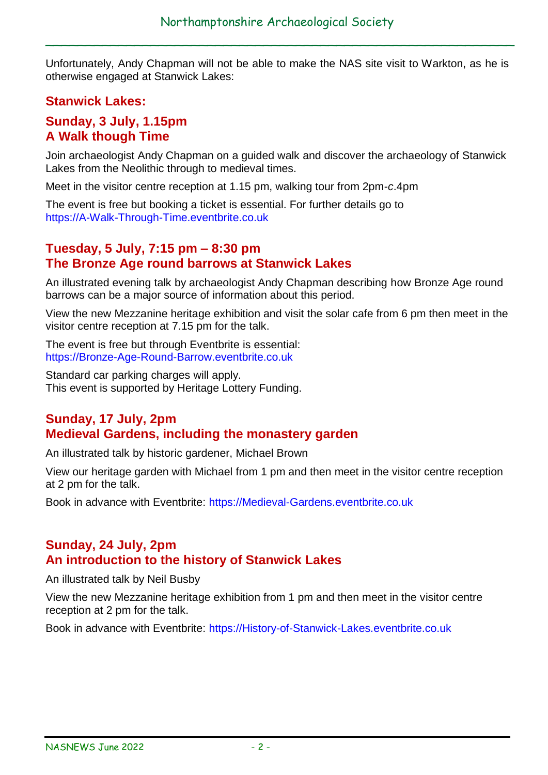$\overline{a}$  , and the set of the set of the set of the set of the set of the set of the set of the set of the set of the set of the set of the set of the set of the set of the set of the set of the set of the set of the set

Unfortunately, Andy Chapman will not be able to make the NAS site visit to Warkton, as he is otherwise engaged at Stanwick Lakes:

# **Stanwick Lakes:**

#### **Sunday, 3 July, 1.15pm A Walk though Time**

Join archaeologist Andy Chapman on a guided walk and discover the archaeology of Stanwick Lakes from the Neolithic through to medieval times.

Meet in the visitor centre reception at 1.15 pm, walking tour from 2pm-*c*.4pm

The event is free but booking a ticket is essential. For further details go to [https://A-Walk-Through-Time.eventbrite.co.uk](https://a-walk-through-time.eventbrite.co.uk/?fbclid=IwAR1uBL5-dvTNTT2M9mY5H3BUqvfS6IEFCcRplBO0KVvQcQ2P_eGe_LjUm8A)

#### **Tuesday, 5 July, 7:15 pm – 8:30 pm The Bronze Age round barrows at Stanwick Lakes**

An illustrated evening talk by archaeologist Andy Chapman describing how Bronze Age round barrows can be a major source of information about this period.

View the new Mezzanine heritage exhibition and visit the solar cafe from 6 pm then meet in the visitor centre reception at 7.15 pm for the talk.

The event is free but through Eventbrite is essential: [https://Bronze-Age-Round-Barrow.eventbrite.co.uk](https://bronze-age-round-barrow.eventbrite.co.uk/?fbclid=IwAR1xIW3onUIhRE8SYAJcKiDz17zxCaU78KHkSMax3EQwLsnjo6j4RwKEqXI)

Standard car parking charges will apply. This event is supported by Heritage Lottery Funding.

# **Sunday, 17 July, 2pm Medieval Gardens, including the monastery garden**

An illustrated talk by historic gardener, Michael Brown

View our heritage garden with Michael from 1 pm and then meet in the visitor centre reception at 2 pm for the talk.

Book in advance with Eventbrite: [https://Medieval-Gardens.eventbrite.co.uk](https://medieval-gardens.eventbrite.co.uk/?fbclid=IwAR0ERp-TpKP_jtsL5lKp2txGhrt3uAa52WBX9QHn9SA5Ox6DKgMrD5cMpFM)

#### **Sunday, 24 July, 2pm An introduction to the history of Stanwick Lakes**

An illustrated talk by Neil Busby

View the new Mezzanine heritage exhibition from 1 pm and then meet in the visitor centre reception at 2 pm for the talk.

Book in advance with Eventbrite: [https://History-of-Stanwick-Lakes.eventbrite.co.uk](https://history-of-stanwick-lakes.eventbrite.co.uk/?fbclid=IwAR0BleINiYr8F5WzxZnnjY1HOGzDBbtc4PHJ0omLdGDLAqM19eyAFu7eJaQ)